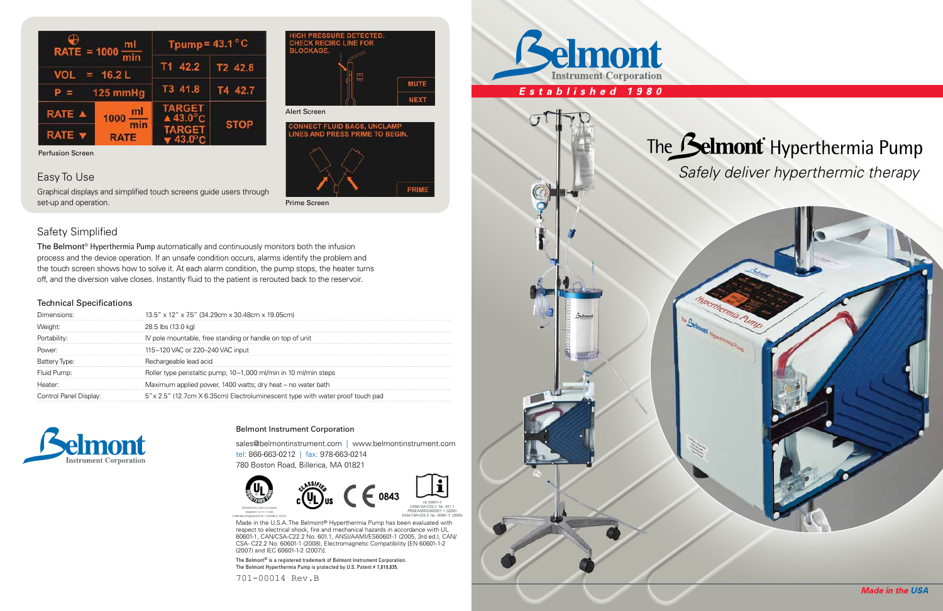| RATE = $1000 \frac{m}{m}$<br>$= 16.2 L$<br><b>VOL</b><br>125 mmHg |             | Tpump = $43.1\degree$ C             |             |
|-------------------------------------------------------------------|-------------|-------------------------------------|-------------|
|                                                                   |             | T1 42.2                             | T2 42.8     |
|                                                                   |             | T3 41.8                             | T4 42.7     |
| RATE A                                                            | $1000 - m1$ | <b>TARGET</b><br>$\triangle$ 43.0°C | <b>STOP</b> |
| <b>RATE</b>                                                       | <b>RATE</b> | <b>TARGET</b>                       |             |

**MUTE NEXT** 

# Safety Simplified

The Belmont<sup>®</sup> Hyperthermia Pump automatically and continuously monitors both the infusion process and the device operation. If an unsafe condition occurs, alarms identify the problem and the touch screen shows how to solve it. At each alarm condition, the pump stops, the heater turns off, and the diversion valve closes. Instantly fluid to the patient is rerouted back to the reservoir.

# Easy To Use

Graphical displays and simplified touch screens guide users through set-up and operation.

Perfusion Screen

Prime Screen

Alert Screen



Made in the U.S.A. The Belmont® Hyperthermia Pump has been evaluated with respect to electrical shock, fire and mechanical hazards in accordance with UL 60601-1, CAN/CSA-C22.2 No. 601.1, ANSI/AAMI/ES60601-1 (2005, 3rd ed.), CAN/ CSA- C22.2 No. 60601-1 (2008), Electromagnetic Compatibility [EN 60601-1-2 (2007) and IEC 60601-1-2 (2007)].

The Belmont® is a registered trademark of Belmont Instrument Corporation. The Belmont Hyperthermia Pump is protected by U.S. Patent # 7,819,835.

#### Technical Specifications

| $13.5''$ x 12" x 7.5" (34.29cm x 30.48cm x 19.05cm)                            |  |  |
|--------------------------------------------------------------------------------|--|--|
| 28.5 lbs (13.0 kg)                                                             |  |  |
| IV pole mountable, free standing or handle on top of unit                      |  |  |
| 115-120 VAC or 220-240 VAC input                                               |  |  |
| Rechargeable lead acid                                                         |  |  |
| Roller type peristaltic pump; 10–1,000 ml/min in 10 ml/min steps               |  |  |
| Maximum applied power, 1400 watts; dry heat – no water bath                    |  |  |
| 5" x 2.5" (12.7cm X 6.35cm) Electroluminescent type with water proof touch pad |  |  |
|                                                                                |  |  |



#### Belmont Instrument Corporation

sales@belmontinstrument.com | www.belmontinstrument.com tel: 866-663-0212 | fax: 978-663-0214 780 Boston Road, Billerica, MA 01821



701-00014 Rev.B